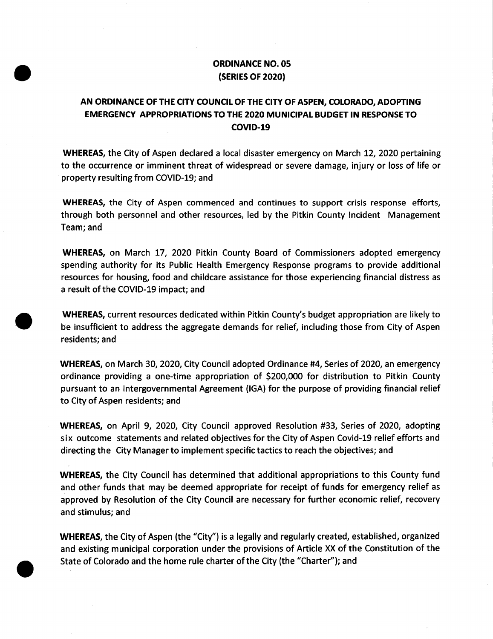## ORDINANCE NO. 05 SERIES OF 2020)

## AN ORDINANCE OF THE CITY COUNCIL OF THE CITY OF ASPEN, COLORADO, ADOPTING EMERGENCY APPROPRIATIONS TO THE 2020 MUNICIPAL BUDGET IN RESPONSE TO COVID-19

WHEREAS, the City of Aspen declared <sup>a</sup> local disaster emergency on March 12, 2020 pertaining to the occurrence or imminent threat of widespread or severe damage, injury or loss of life or property resulting from COVID-19; and

WHEREAS, the City of Aspen commenced and continues to support crisis response efforts, through both personnel and other resources, led by the Pitkin County Incident Management Team; and

WHEREAS, on March 17, 2020 Pitkin County Board of Commissioners adopted emergency spending authority for its Public Health Emergency Response programs to provide additional resources for housing, food and childcare assistance for those experiencing financial distress as <sup>a</sup> result of the COVID- 19 impact; and

WHEREAS, current resources dedicated within Pitkin County's budget appropriation are likely to be insufficient to address the aggregate demands for relief, including those from City of Aspen residents; and

WHEREAS, on March 30, 2020, City Council adopted Ordinance #4, Series of 2020, an emergency ordinance providing <sup>a</sup> one- time appropriation of \$ 200,000 for distribution to Pitkin County pursuant to an Intergovernmental Agreement ( IGA) for the purpose of providing financial relief to City of Aspen residents; and

WHEREAS, on April 9, 2020, City Council approved Resolution #33, Series of 2020, adopting six outcome statements and related objectives for the City of Aspen Covid- 19 relief efforts and directing the City Manager to implement specific tactics to reach the objectives; and

WHEREAS, the City Council has determined that additional appropriations to this County fund and other funds that may be deemed appropriate for receipt of funds for emergency relief as approved by Resolution of the City Council are necessary for further economic relief, recovery and stimulus; and

WHEREAS, the City of Aspen (the "City") is a legally and regularly created, established, organized and existing municipal corporation under the provisions of Article XX of the Constitution of the State of Colorado and the home rule charter of the City (the " Charter"); and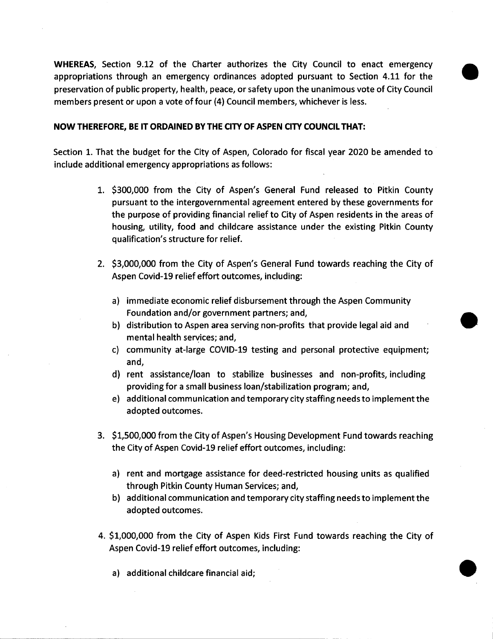WHEREAS, Section 9.12 of the Charter authorizes the City Council to enact emergency appropriations through an emergency ordinances adopted pursuant to Section 4.11 for the preservation of public property, health, peace, or safety upon the unanimous vote of City Council members present or upon a vote of four (4) Council members, whichever is less.

## NOW THEREFORE, BE IT ORDAINED BY THE CITY OF ASPEN CITY COUNCIL THAT:

Section 1. That the budget for the City of Aspen, Colorado for fiscal year 2020 be amended to include additional emergency appropriations as follows:

- 1. \$300,000 from the City of Aspen's General Fund released to Pitkin County pursuant to the intergovernmental agreement entered by these governments for the purpose of providing financial relief to City of Aspen residents in the areas of housing, utility, food and childcare assistance under the existing Pitkin County qualification's structure for relief.
- 2. \$3,000,000 from the City of Aspen's General Fund towards reaching the City of Aspen Covid-19 relief effort outcomes, including:
	- a) immediate economic relief disbursement through the Aspen Community Foundation and/or government partners; and,
	- b) distribution to Aspen area serving non-profits that provide legal aid and mental health services; and,
	- c) community at-large COVID-19 testing and personal protective equipment; and,
	- d) rent assistance/loan to stabilize businesses and non-profits, including providing for a small business loan/stabilization program; and,
	- e) additional communication and temporary city staffing needs to implement the adopted outcomes.
- 3. \$1,500,000 from the City of Aspen's Housing Development Fund towards reaching the City of Aspen Covid-19 relief effort outcomes, including:
	- a) rent and mortgage assistance for deed-restricted housing units as qualified through Pitkin County Human Services; and,
	- b) additional communication and temporary city staffing needs to implement the adopted outcomes.
- 4. \$ 1, 000,000 from the City of Aspen Kids First Fund towards reaching the City of Aspen Covid-19 relief effort outcomes, including:

a) additional childcare financial aid;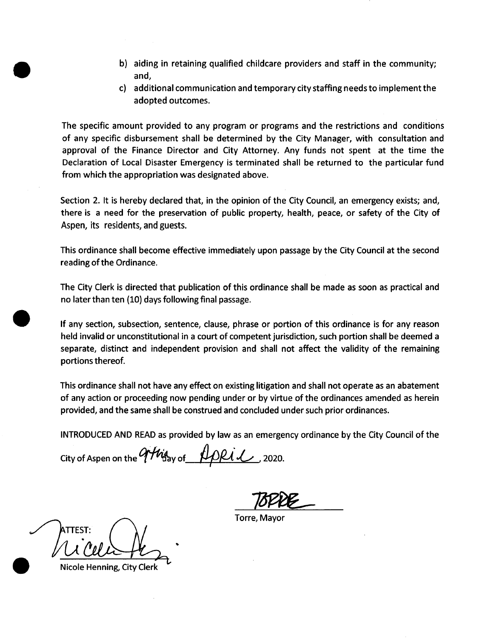- b) aiding in retaining qualified childcare providers and staff in the community; and,
- c) additional communication and temporary city staffing needs to implement the adopted outcomes.

The specific amount provided to any program or programs and the restrictions and conditions of any specific disbursement shall be determined by the City Manager, with consultation and approval of the Finance Director and City Attorney. Any funds not spent at the time the Declaration of Local Disaster Emergency is terminated shall be returned to the particular fund from which the appropriation was designated above.

Section 2. It is hereby declared that, in the opinion of the City Council, an emergency exists; and, there is <sup>a</sup> need for the preservation of public property, health, peace, or safety of the City of Aspen, its residents, and guests.

This ordinance shall become effective immediately upon passage by the City Council at the second reading of the Ordinance.

The City Clerk is directed that publication of this ordinance shall be made as soon as practical and no later than ten ( 10) days following final passage.

If any section, subsection, sentence, clause, phrase or portion of this ordinance is for any reason held invalid or unconstitutional in <sup>a</sup> court of competent jurisdiction, such portion shall be deemed <sup>a</sup> separate, distinct and independent provision and shall not affect the validity of the remaining portions thereof.

This ordinance shall not have any effect on existing litigation and shall not operate as an abatement of any action or proceeding now pending under or by virtue of the ordinances amended as herein provided, and the same shall be construed and concluded under such prior ordinances.

INTRODUCED AND READ as provided by law as an emergency ordinance by the City Council of the

City of Aspen on the y of 2020.

Torre, Mayor

TTEST: lb

Nicole Henning, City Clerk